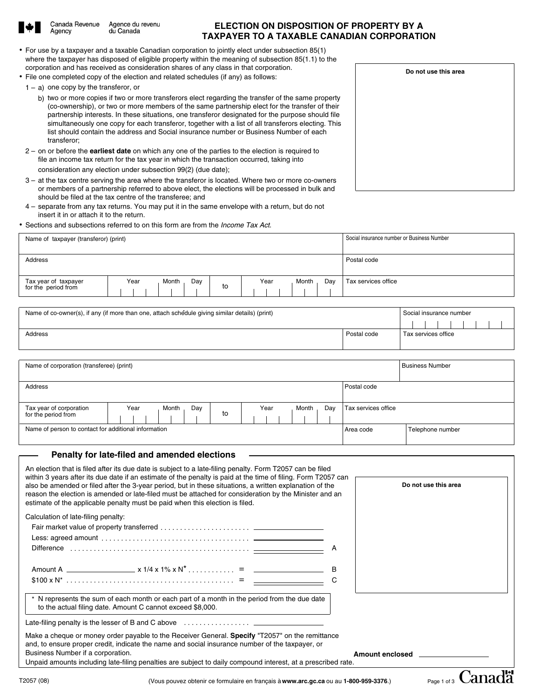

Agency

Canada Revenue Agence du revenu du Canada

# **ELECTION ON DISPOSITION OF PROPERTY BY A TAXPAYER TO A TAXABLE CANADIAN CORPORATION**

- For use by a taxpayer and a taxable Canadian corporation to jointly elect under subsection 85(1) where the taxpayer has disposed of eligible property within the meaning of subsection 85(1.1) to the corporation and has received as consideration shares of any class in that corporation.
- File one completed copy of the election and related schedules (if any) as follows:
	- $1 a$ ) one copy by the transferor, or
		- b) two or more copies if two or more transferors elect regarding the transfer of the same property (co-ownership), or two or more members of the same partnership elect for the transfer of their partnership interests. In these situations, one transferor designated for the purpose should file simultaneously one copy for each transferor, together with a list of all transferors electing. This list should contain the address and Social insurance number or Business Number of each transferor;
	- 2 on or before the **earliest date** on which any one of the parties to the election is required to file an income tax return for the tax year in which the transaction occurred, taking into consideration any election under subsection 99(2) (due date);
	- 3 at the tax centre serving the area where the transferor is located. Where two or more co-owners or members of a partnership referred to above elect, the elections will be processed in bulk and should be filed at the tax centre of the transferee; and
- 4 separate from any tax returns. You may put it in the same envelope with a return, but do not insert it in or attach it to the return.
- Sections and subsections referred to on this form are from the *Income Tax Act*.

| Name of taxpayer (transferor) (print)       |                      | Social insurance number or Business Number |             |                     |
|---------------------------------------------|----------------------|--------------------------------------------|-------------|---------------------|
|                                             |                      |                                            |             |                     |
| Address                                     |                      |                                            | Postal code |                     |
|                                             |                      |                                            |             |                     |
| Tax year of taxpayer<br>for the period from | Day<br>Month<br>Year | Year<br>Month<br>to                        | Dav         | Tax services office |

| Name of co-owner(s), if any (if more than one, attach schedule giving similar details) (print) | Social insurance number            |  |  |  |
|------------------------------------------------------------------------------------------------|------------------------------------|--|--|--|
|                                                                                                |                                    |  |  |  |
| Address                                                                                        | Postal code<br>Tax services office |  |  |  |
|                                                                                                |                                    |  |  |  |

| Name of corporation (transferee) (print)             |                      |    | <b>Business Number</b> |                     |                  |
|------------------------------------------------------|----------------------|----|------------------------|---------------------|------------------|
|                                                      |                      |    |                        |                     |                  |
| Address                                              |                      |    |                        | Postal code         |                  |
|                                                      |                      |    |                        |                     |                  |
| Tax year of corporation<br>for the period from       | Year<br>Day<br>Month |    | Month<br>Year<br>Day   | Tax services office |                  |
|                                                      |                      | to |                        |                     |                  |
| Name of person to contact for additional information |                      |    |                        | Area code           | Telephone number |
|                                                      |                      |    |                        |                     |                  |

#### **Penalty for late-filed and amended elections**

|                                     | An election that is filed after its due date is subject to a late-filing penalty. Form T2057 can be filed<br>within 3 years after its due date if an estimate of the penalty is paid at the time of filing. Form T2057 can<br>also be amended or filed after the 3-year period, but in these situations, a written explanation of the<br>reason the election is amended or late-filed must be attached for consideration by the Minister and an<br>estimate of the applicable penalty must be paid when this election is filed. | Do not use this area   |
|-------------------------------------|---------------------------------------------------------------------------------------------------------------------------------------------------------------------------------------------------------------------------------------------------------------------------------------------------------------------------------------------------------------------------------------------------------------------------------------------------------------------------------------------------------------------------------|------------------------|
| Calculation of late-filing penalty: |                                                                                                                                                                                                                                                                                                                                                                                                                                                                                                                                 |                        |
|                                     |                                                                                                                                                                                                                                                                                                                                                                                                                                                                                                                                 |                        |
|                                     |                                                                                                                                                                                                                                                                                                                                                                                                                                                                                                                                 |                        |
|                                     |                                                                                                                                                                                                                                                                                                                                                                                                                                                                                                                                 |                        |
|                                     |                                                                                                                                                                                                                                                                                                                                                                                                                                                                                                                                 |                        |
|                                     |                                                                                                                                                                                                                                                                                                                                                                                                                                                                                                                                 |                        |
|                                     |                                                                                                                                                                                                                                                                                                                                                                                                                                                                                                                                 |                        |
|                                     | * N represents the sum of each month or each part of a month in the period from the due date<br>to the actual filing date. Amount C cannot exceed \$8,000.                                                                                                                                                                                                                                                                                                                                                                      |                        |
|                                     |                                                                                                                                                                                                                                                                                                                                                                                                                                                                                                                                 |                        |
|                                     | Make a cheque or money order payable to the Receiver General. Specify "T2057" on the remittance<br>and, to ensure proper credit, indicate the name and social insurance number of the taxpayer, or                                                                                                                                                                                                                                                                                                                              |                        |
| Business Number if a corporation.   |                                                                                                                                                                                                                                                                                                                                                                                                                                                                                                                                 | <b>Amount enclosed</b> |
|                                     | Unpaid amounts including late-filing penalties are subject to daily compound interest, at a prescribed rate.                                                                                                                                                                                                                                                                                                                                                                                                                    |                        |
| 2057(08)                            | (Vous pouvez obtenir ce formulaire en francais à www.arc.gc.ca ou au 1-800-959-3376.)                                                                                                                                                                                                                                                                                                                                                                                                                                           | Page 1 of 3            |

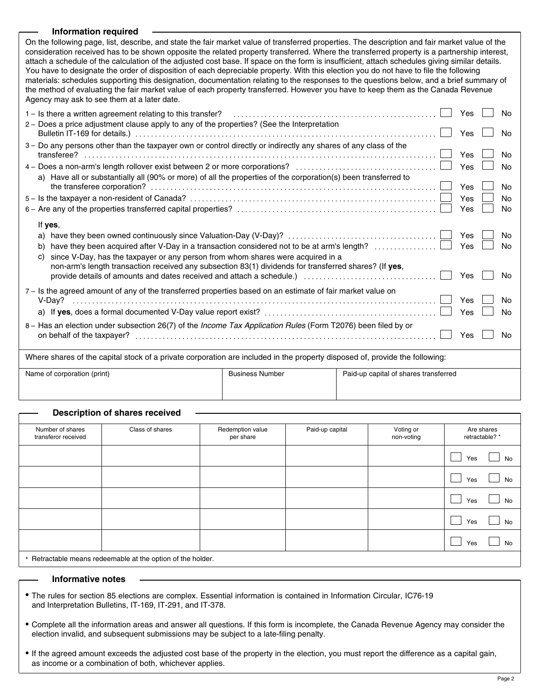### **Information required**

On the following page, list, describe, and state the fair market value of transferred properties. The description and fair market value of the consideration received has to be shown opposite the related property transferred. Where the transferred property is a partnership interest, attach a schedule of the calculation of the adjusted cost base. If space on the form is insufficient, attach schedules giving similar details. You have to designate the order of disposition of each depreciable property. With this election you do not have to file the following materials: schedules supporting this designation, documentation relating to the responses to the questions below, and a brief summary of the method of evaluating the fair market value of each property transferred. However you have to keep them as the Canada Revenue Agency may ask to see them at a later date.

| 1 – Is there a written agreement relating to this transfer?<br>2 - Does a price adjustment clause apply to any of the properties? (See the Interpretation                                                                                                                                                           | <b>Yes</b><br>Yes | <b>No</b><br><b>No</b> |
|---------------------------------------------------------------------------------------------------------------------------------------------------------------------------------------------------------------------------------------------------------------------------------------------------------------------|-------------------|------------------------|
| 3 - Do any persons other than the taxpayer own or control directly or indirectly any shares of any class of the                                                                                                                                                                                                     | Yes<br>Yes        | Nο<br>No               |
| a) Have all or substantially all (90% or more) of all the properties of the corporation(s) been transferred to                                                                                                                                                                                                      | Yes<br>Yes<br>Yes | No<br>No<br><b>No</b>  |
| If yes,<br>a)<br>have they been acquired after V-Day in a transaction considered not to be at arm's length?<br>b)<br>since V-Day, has the taxpayer or any person from whom shares were acquired in a<br>C)<br>non-arm's length transaction received any subsection 83(1) dividends for transferred shares? (If yes, | <b>Yes</b><br>Yes | No<br>Nο               |
| provide details of amounts and dates received and attach a schedule.) [10] provide details of amounts and dates received and attach a schedule.)<br>7 – Is the agreed amount of any of the transferred properties based on an estimate of fair market value on                                                      | Yes<br>Yes<br>Yes | No<br>No<br>No         |
| 8 – Has an election under subsection 26(7) of the Income Tax Application Rules (Form T2076) been filed by or                                                                                                                                                                                                        | Yes               | N٥                     |
| Where shares of the capital stock of a private corporation are included in the property disposed of, provide the following:                                                                                                                                                                                         |                   |                        |

| Name of corporation (print) | <b>Business Number</b> | Paid-up capital of shares transferred |  |  |
|-----------------------------|------------------------|---------------------------------------|--|--|
|                             |                        |                                       |  |  |

## **Description of shares received**

| Number of shares<br>transferor received                    | Class of shares | Redemption value<br>per share | Paid-up capital | Voting or<br>non-voting | Are shares<br>retractable? * |  |  |  |  |
|------------------------------------------------------------|-----------------|-------------------------------|-----------------|-------------------------|------------------------------|--|--|--|--|
|                                                            |                 |                               |                 |                         | Yes<br>No                    |  |  |  |  |
|                                                            |                 |                               |                 |                         | No<br>Yes                    |  |  |  |  |
|                                                            |                 |                               |                 |                         | Yes<br>No                    |  |  |  |  |
|                                                            |                 |                               |                 |                         | Yes<br>No                    |  |  |  |  |
|                                                            |                 |                               |                 |                         | Yes<br>No                    |  |  |  |  |
| * Petropholic means redeemable at the entian of the holder |                 |                               |                 |                         |                              |  |  |  |  |

\* Retractable means redeemable at the option of the holder.

### **Informative notes**

- The rules for section 85 elections are complex. Essential information is contained in Information Circular, IC76-19 and Interpretation Bulletins, IT-169, IT-291, and IT-378.
- Complete all the information areas and answer all questions. If this form is incomplete, the Canada Revenue Agency may consider the election invalid, and subsequent submissions may be subject to a late-filing penalty.
- If the agreed amount exceeds the adjusted cost base of the property in the election, you must report the difference as a capital gain, as income or a combination of both, whichever applies.